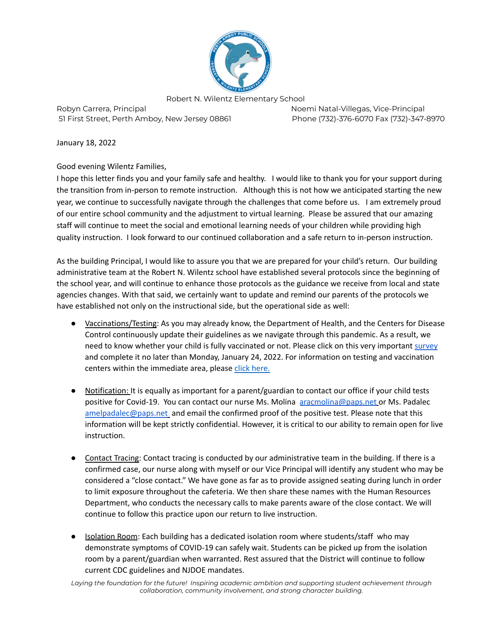

Robyn Carrera, Principal Noemi Natal-Villegas, Vice-Principal Noemi Natal-Villegas, Vice-Principal 51 First Street, Perth Amboy, New Jersey 08861 Phone (732)-376-6070 Fax (732)-347-8970

January 18, 2022

Good evening Wilentz Families,

I hope this letter finds you and your family safe and healthy. I would like to thank you for your support during the transition from in-person to remote instruction. Although this is not how we anticipated starting the new year, we continue to successfully navigate through the challenges that come before us. I am extremely proud of our entire school community and the adjustment to virtual learning. Please be assured that our amazing staff will continue to meet the social and emotional learning needs of your children while providing high quality instruction. I look forward to our continued collaboration and a safe return to in-person instruction.

As the building Principal, I would like to assure you that we are prepared for your child's return. Our building administrative team at the Robert N. Wilentz school have established several protocols since the beginning of the school year, and will continue to enhance those protocols as the guidance we receive from local and state agencies changes. With that said, we certainly want to update and remind our parents of the protocols we have established not only on the instructional side, but the operational side as well:

- Vaccinations/Testing: As you may already know, the Department of Health, and the Centers for Disease Control continuously update their guidelines as we navigate through this pandemic. As a result, we need to know whether your child is fully vaccinated or not. Please click on this very important [survey](https://forms.gle/raRHhQRwbLkAfRjv5) and complete it no later than Monday, January 24, 2022. For information on testing and vaccination centers within the immediate area, please click [here.](https://www.perthamboynj.org/community/news/announcements/perth_amboy_testing_and_vaccination_locations)
- Notification: It is equally as important for a parent/guardian to contact our office if your child tests positive for Covid-19. You can contact our nurse Ms. Molina [aracmolina@paps.net](mailto:aracmolina@paps.net) or Ms. Padalec [amelpadalec@paps.net](mailto:amelpadalec@paps.net) and email the confirmed proof of the positive test. Please note that this information will be kept strictly confidential. However, it is critical to our ability to remain open for live instruction.
- Contact Tracing: Contact tracing is conducted by our administrative team in the building. If there is a confirmed case, our nurse along with myself or our Vice Principal will identify any student who may be considered a "close contact." We have gone as far as to provide assigned seating during lunch in order to limit exposure throughout the cafeteria. We then share these names with the Human Resources Department, who conducts the necessary calls to make parents aware of the close contact. We will continue to follow this practice upon our return to live instruction.
- Isolation Room: Each building has a dedicated isolation room where students/staff who may demonstrate symptoms of COVID-19 can safely wait. Students can be picked up from the isolation room by a parent/guardian when warranted. Rest assured that the District will continue to follow current CDC guidelines and NJDOE mandates.

*Laying the foundation for the future! Inspiring academic ambition and supporting student achievement through collaboration, community involvement, and strong character building.*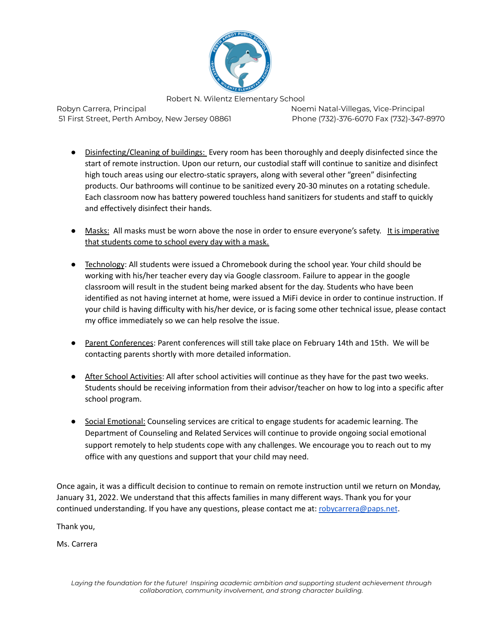

Robyn Carrera, Principal Noemi Natal-Villegas, Vice-Principal Noemi Natal-Villegas, Vice-Principal 51 First Street, Perth Amboy, New Jersey 08861 Phone (732)-376-6070 Fax (732)-347-8970

- Disinfecting/Cleaning of buildings: Every room has been thoroughly and deeply disinfected since the start of remote instruction. Upon our return, our custodial staff will continue to sanitize and disinfect high touch areas using our electro-static sprayers, along with several other "green" disinfecting products. Our bathrooms will continue to be sanitized every 20-30 minutes on a rotating schedule. Each classroom now has battery powered touchless hand sanitizers for students and staff to quickly and effectively disinfect their hands.
- Masks: All masks must be worn above the nose in order to ensure everyone's safety. It is imperative that students come to school every day with a mask.
- Technology: All students were issued a Chromebook during the school year. Your child should be working with his/her teacher every day via Google classroom. Failure to appear in the google classroom will result in the student being marked absent for the day. Students who have been identified as not having internet at home, were issued a MiFi device in order to continue instruction. If your child is having difficulty with his/her device, or is facing some other technical issue, please contact my office immediately so we can help resolve the issue.
- Parent Conferences: Parent conferences will still take place on February 14th and 15th. We will be contacting parents shortly with more detailed information.
- After School Activities: All after school activities will continue as they have for the past two weeks. Students should be receiving information from their advisor/teacher on how to log into a specific after school program.
- Social Emotional: Counseling services are critical to engage students for academic learning. The Department of Counseling and Related Services will continue to provide ongoing social emotional support remotely to help students cope with any challenges. We encourage you to reach out to my office with any questions and support that your child may need.

Once again, it was a difficult decision to continue to remain on remote instruction until we return on Monday, January 31, 2022. We understand that this affects families in many different ways. Thank you for your continued understanding. If you have any questions, please contact me at: [robycarrera@paps.net](mailto:robycarrera@paps.net).

Thank you,

Ms. Carrera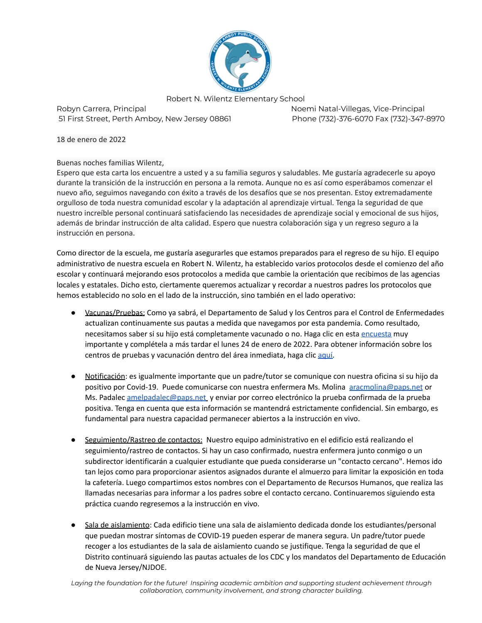

Robyn Carrera, Principal Noemi Natal-Villegas, Vice-Principal 51 First Street, Perth Amboy, New Jersey 08861 Phone (732)-376-6070 Fax (732)-347-8970

18 de enero de 2022

## Buenas noches familias Wilentz,

Espero que esta carta los encuentre a usted y a su familia seguros y saludables. Me gustaría agradecerle su apoyo durante la transición de la instrucción en persona a la remota. Aunque no es así como esperábamos comenzar el nuevo año, seguimos navegando con éxito a través de los desafíos que se nos presentan. Estoy extremadamente orgulloso de toda nuestra comunidad escolar y la adaptación al aprendizaje virtual. Tenga la seguridad de que nuestro increíble personal continuará satisfaciendo las necesidades de aprendizaje social y emocional de sus hijos, además de brindar instrucción de alta calidad. Espero que nuestra colaboración siga y un regreso seguro a la instrucción en persona.

Como director de la escuela, me gustaría asegurarles que estamos preparados para el regreso de su hijo. El equipo administrativo de nuestra escuela en Robert N. Wilentz, ha establecido varios protocolos desde el comienzo del año escolar y continuará mejorando esos protocolos a medida que cambie la orientación que recibimos de las agencias locales y estatales. Dicho esto, ciertamente queremos actualizar y recordar a nuestros padres los protocolos que hemos establecido no solo en el lado de la instrucción, sino también en el lado operativo:

- Vacunas/Pruebas: Como ya sabrá, el Departamento de Salud y los Centros para el Control de Enfermedades actualizan continuamente sus pautas a medida que navegamos por esta pandemia. Como resultado, necesitamos saber si su hijo está completamente vacunado o no. Haga clic en esta [encuesta](https://forms.gle/37PdKjkUUE4JqW3BA) muy importante y complétela a más tardar el lunes 24 de enero de 2022. Para obtener información sobre los centros de pruebas y vacunación dentro del área inmediata, haga clic [aquí.](https://www.perthamboynj.org/community/news/announcements/perth_amboy_testing_and_vaccination_locations)
- Notificación: es igualmente importante que un padre/tutor se comunique con nuestra oficina si su hijo da positivo por Covid-19. Puede comunicarse con nuestra enfermera Ms. Molina [aracmolina@paps.net](mailto:aracmolina@paps.net) or Ms. Padalec [amelpadalec@paps.net](mailto:amelpadalec@paps.net) y enviar por correo electrónico la prueba confirmada de la prueba positiva. Tenga en cuenta que esta información se mantendrá estrictamente confidencial. Sin embargo, es fundamental para nuestra capacidad permanecer abiertos a la instrucción en vivo.
- Seguimiento/Rastreo de contactos: Nuestro equipo administrativo en el edificio está realizando el seguimiento/rastreo de contactos. Si hay un caso confirmado, nuestra enfermera junto conmigo o un subdirector identificarán a cualquier estudiante que pueda considerarse un "contacto cercano". Hemos ido tan lejos como para proporcionar asientos asignados durante el almuerzo para limitar la exposición en toda la cafetería. Luego compartimos estos nombres con el Departamento de Recursos Humanos, que realiza las llamadas necesarias para informar a los padres sobre el contacto cercano. Continuaremos siguiendo esta práctica cuando regresemos a la instrucción en vivo.
- Sala de aislamiento: Cada edificio tiene una sala de aislamiento dedicada donde los estudiantes/personal que puedan mostrar síntomas de COVID-19 pueden esperar de manera segura. Un padre/tutor puede recoger a los estudiantes de la sala de aislamiento cuando se justifique. Tenga la seguridad de que el Distrito continuará siguiendo las pautas actuales de los CDC y los mandatos del Departamento de Educación de Nueva Jersey/NJDOE.

*Laying the foundation for the future! Inspiring academic ambition and supporting student achievement through collaboration, community involvement, and strong character building.*